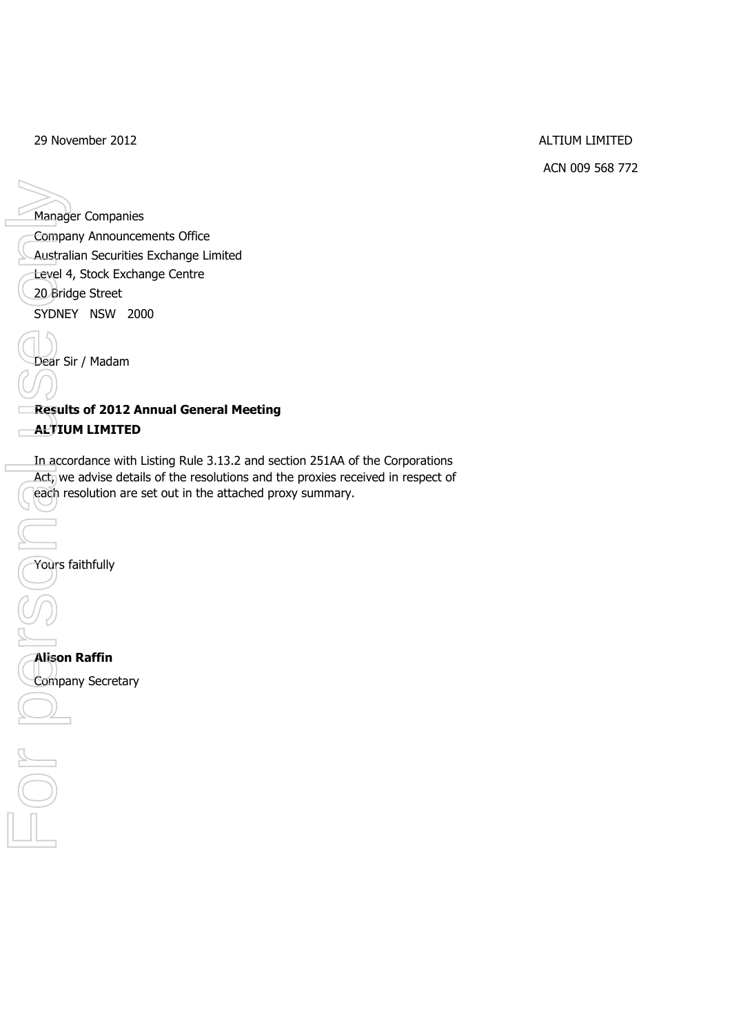29 November 2012 **ALTIUM LIMITED** 

ACN 009 568 772

Manager Companies Company Announcements Office Australian Securities Exchange Limited Level 4, Stock Exchange Centre 20 Bridge Street SYDNEY NSW 2000 Dear Sir / Madam Manager Companie<br>
Company Announce<br>
Custralian Securitie<br>
Level 4, Stock Exch<br>
20 Bridge Street<br>
SYDNEY NSW 20<br>
Dear Sir / Madam<br>
Results of 2012 A<br>
Results of 2012 A<br>
ALTIUM LIMITED<br>
In accordance with<br>
Act<sub>y</sub> we advise d

**Results of 2012 Annual General Meeting ALTIUM LIMITED**

In accordance with Listing Rule 3.13.2 and section 251AA of the Corporations Act, we advise details of the resolutions and the proxies received in respect of each resolution are set out in the attached proxy summary.

Yours faithfully

**Alison Raffin**